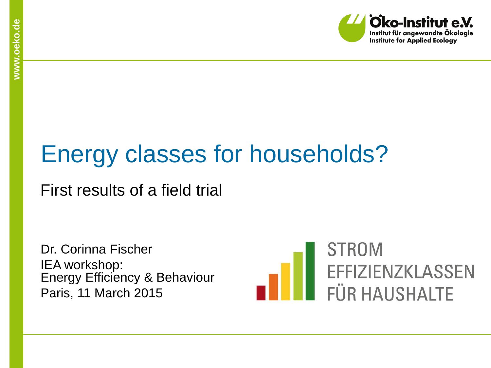

# Energy classes for households?

#### First results of a field trial

Dr. Corinna Fischer IEA workshop: Energy Efficiency & Behaviour Paris, 11 March 2015

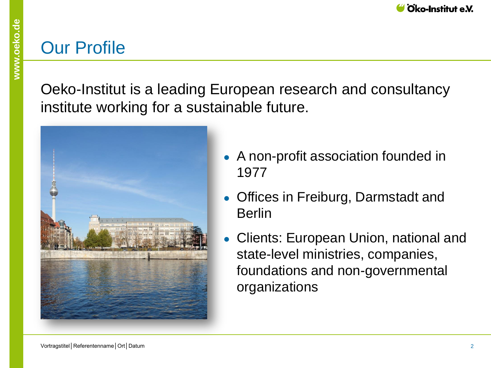#### Our Profile

Oeko-Institut is a leading European research and consultancy institute working for a sustainable future.



- A non-profit association founded in 1977
- Offices in Freiburg, Darmstadt and Berlin
- Clients: European Union, national and state-level ministries, companies, foundations and non-governmental organizations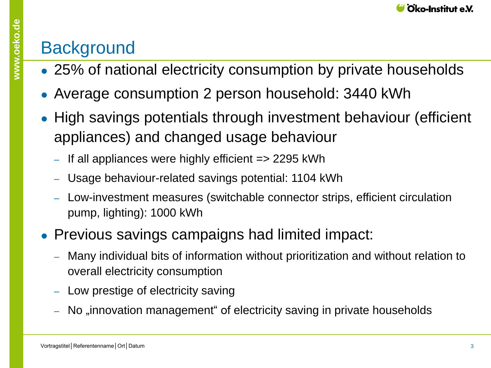## **Background**

- 25% of national electricity consumption by private households
- Average consumption 2 person household: 3440 kWh
- High savings potentials through investment behaviour (efficient appliances) and changed usage behaviour
	- ‒ If all appliances were highly efficient => 2295 kWh
	- ‒ Usage behaviour-related savings potential: 1104 kWh
	- ‒ Low-investment measures (switchable connector strips, efficient circulation pump, lighting): 1000 kWh
- Previous savings campaigns had limited impact:
	- ‒ Many individual bits of information without prioritization and without relation to overall electricity consumption
	- Low prestige of electricity saving
	- No "innovation management" of electricity saving in private households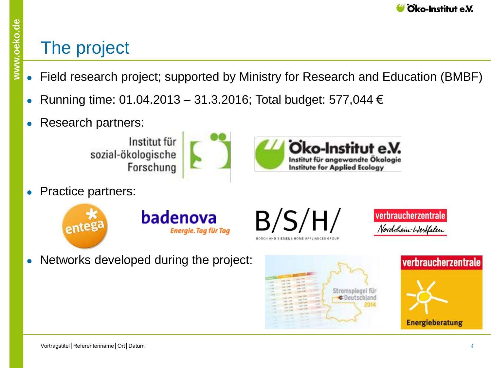#### The project

- Field research project; supported by Ministry for Research and Education (BMBF)
- Running time: 01.04.2013 31.3.2016; Total budget: 577,044 €
- Research partners:

Institut für sozial-ökologische Forschung

**Practice partners:** 



 $B/S/H/$ 

verbraucherzentrale Nordthein-Westfalen

Networks developed during the project:



Oko-Institut e.V.

Institut für angewandte Ökologie

**Institute for Applied Ecology** 

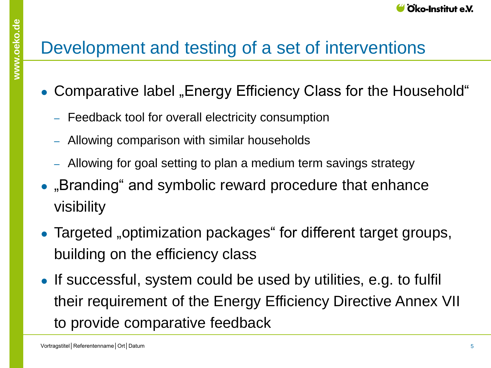## Development and testing of a set of interventions

- Comparative label "Energy Efficiency Class for the Household"
	- ‒ Feedback tool for overall electricity consumption
	- ‒ Allowing comparison with similar households
	- ‒ Allowing for goal setting to plan a medium term savings strategy
- "Branding" and symbolic reward procedure that enhance visibility
- Targeted "optimization packages" for different target groups, building on the efficiency class
- If successful, system could be used by utilities, e.g. to fulfil their requirement of the Energy Efficiency Directive Annex VII to provide comparative feedback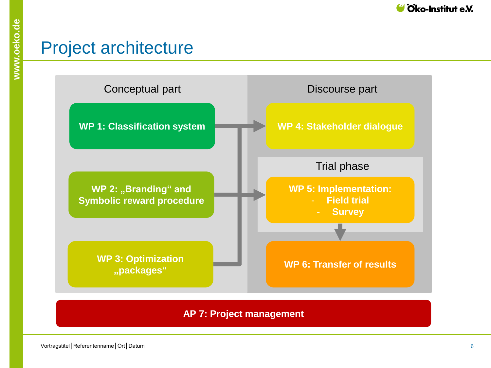

#### Project architecture



#### **AP 7: Project management**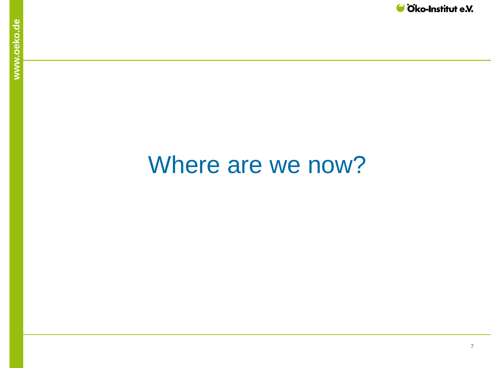

# Where are we now?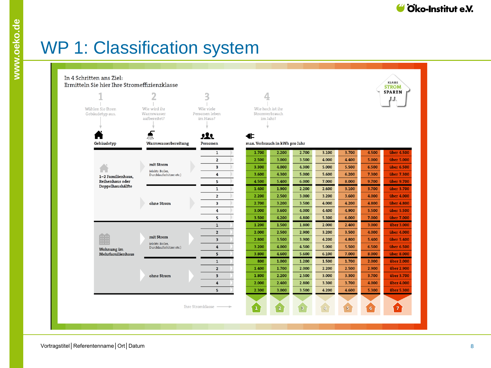## WP 1: Classification system

| In 4 Schritten ans Ziel:<br><b>KLASSE</b><br>Ermitteln Sie hier Ihre Stromeffizienzklasse<br><b>STROM</b> |                                                                               |                         |                                    |             |              |               |       |       |                |
|-----------------------------------------------------------------------------------------------------------|-------------------------------------------------------------------------------|-------------------------|------------------------------------|-------------|--------------|---------------|-------|-------|----------------|
|                                                                                                           | ∠                                                                             | 3                       |                                    |             |              |               |       |       | <b>SPAREN</b>  |
|                                                                                                           |                                                                               |                         |                                    |             |              |               |       |       |                |
| Gebäudetyp aus.                                                                                           | Wie wird ihr<br>Wie viele<br>Wählen Sie Ihren<br>Warmwasser<br>Personen leben |                         | Wie hoch ist ihr<br>Stromverbrauch |             |              |               |       |       |                |
| aufbereitet?                                                                                              |                                                                               | im Haus?                | im Jahr?                           |             |              |               |       |       |                |
|                                                                                                           |                                                                               |                         |                                    |             |              |               |       |       |                |
|                                                                                                           | 48                                                                            | 쏘                       | €È                                 |             |              |               |       |       |                |
| Gebäudetyp                                                                                                | Warmwasserbereitung                                                           | Personen                | max. Verbrauch in kWh pro Jahr     |             |              |               |       |       |                |
|                                                                                                           |                                                                               | $\mathbf{1}$            | 1.700                              | 2.200       | 2.700        | 3.100         | 3.700 | 4.500 | über 4.500     |
|                                                                                                           |                                                                               | $\mathbf{2}$            | 2.500                              | 3.000       | 3.500        | 4.000         | 4.400 | 5.000 | über 5.000     |
|                                                                                                           | mit Strom                                                                     | 3                       | 3.300                              | 4.000       | 4.300        | 5.000         | 5.500 | 6.500 | über 6.500     |
| 1-2 Familienhaus,                                                                                         | (elektr. Boiler,<br>Durchlauferhitzer etc.)                                   | 4                       | 3.600                              | 4.300       | 5.000        | 5.600         | 6.200 | 7.300 | über 7.300     |
| Reihenhaus oder                                                                                           |                                                                               | 5                       | 4.500                              | 5.400       | 6.000        | 7.000         | 8.000 | 9.700 | über 9.700     |
| Doppelhaushälfte                                                                                          |                                                                               | $\mathbf{1}$            | 1.400                              | 1.900       | 2.200        | 2.600         | 3.100 | 3.700 | über 3.700     |
|                                                                                                           |                                                                               | $\mathbf{2}$            | 2.200                              | 2.500       | 3.000        | 3.200         | 3.600 | 4.000 | über 4.000     |
|                                                                                                           | ohne Strom                                                                    | 3                       | 2.700                              | 3.200       | 3.500        | 4.000         | 4.200 | 4.800 | über 4.800     |
|                                                                                                           |                                                                               | 4                       | 3.000                              | 3.600       | 4.000        | 4.400         | 4.900 | 5.500 | über 5.500     |
|                                                                                                           |                                                                               | 5                       | 3.500                              | 4.200       | 4.800        | 5.300         | 6.000 | 7.000 | über 7.000     |
|                                                                                                           | mit Strom<br>(elektr. Boiler,<br>Durchlauferhitzer etc.)                      | $\mathbf{1}$            | 1.200                              | 1.500       | 1.800        | 2.000         | 2.400 | 3.000 | über 3.000     |
|                                                                                                           |                                                                               | $\overline{2}$          | 2.000                              | 2.500       | 2.900        | 3.200         | 3.500 | 4.000 | über 4.000     |
|                                                                                                           |                                                                               | $\overline{\mathbf{3}}$ | 2.800                              | 3.500       | 3.900        | 4.200         | 4.800 | 5.400 | über 5.400     |
| Wohnung im                                                                                                |                                                                               | 4                       | 3.200                              | 4.000       | 4.500        | 5.000         | 5.500 | 6.500 | über 6.500     |
| Mehrfamilienhaus                                                                                          |                                                                               | 5                       | 3.800                              | 4.600       | 5.600        | 6.100         | 7.000 | 8.000 | über 8.000     |
|                                                                                                           |                                                                               | $\mathbf{1}$            | 800                                | 1.000       | 1.200        | 1.500         | 1.700 | 2.000 | über 2.000     |
|                                                                                                           | ohne Strom                                                                    | $2^{\circ}$             | 1.400                              | 1.700       | 2.000        | 2.200         | 2.500 | 2.900 | über 2.900     |
|                                                                                                           |                                                                               | $\overline{\mathbf{3}}$ | 1.800                              | 2.200       | 2.500        | 3.000         | 3.300 | 3.700 | über 3.700     |
|                                                                                                           |                                                                               | $\overline{\mathbf{4}}$ | 2.000                              | 2.400       | 2.800        | 3.300         | 3.700 | 4.000 | über 4.000     |
|                                                                                                           |                                                                               | 5 <sup>1</sup>          | 2.300                              | 3.000       | 3.500        | 4.200         | 4.600 | 5.300 | über 5.300     |
|                                                                                                           |                                                                               |                         |                                    |             |              |               |       |       |                |
|                                                                                                           |                                                                               | Ihre Stromklasse        | $\boxed{1}$                        | $\boxed{2}$ | $\mathbf{B}$ | $\frac{4}{2}$ | 5     | 6     | $7\phantom{.}$ |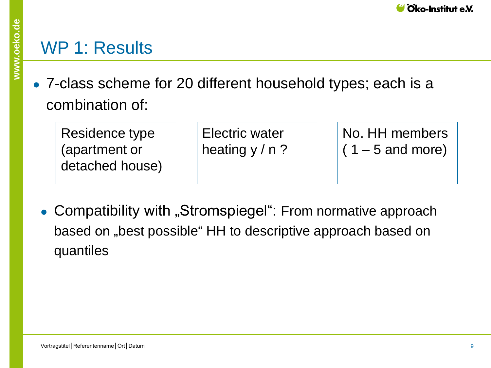#### WP 1: Results

• 7-class scheme for 20 different household types; each is a combination of:

Residence type (apartment or detached house)

Electric water heating  $y / n$ ? No. HH members  $(1 - 5$  and more)

• Compatibility with "Stromspiegel": From normative approach based on "best possible" HH to descriptive approach based on quantiles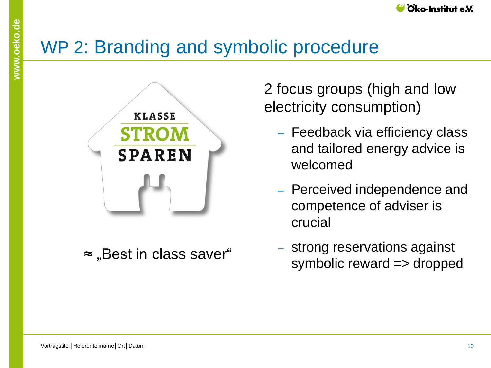## WP 2: Branding and symbolic procedure



≈ "Best in class saver"

2 focus groups (high and low electricity consumption)

- Feedback via efficiency class and tailored energy advice is welcomed
- ‒ Perceived independence and competence of adviser is crucial
- ‒ strong reservations against symbolic reward => dropped

**www.oeko.de**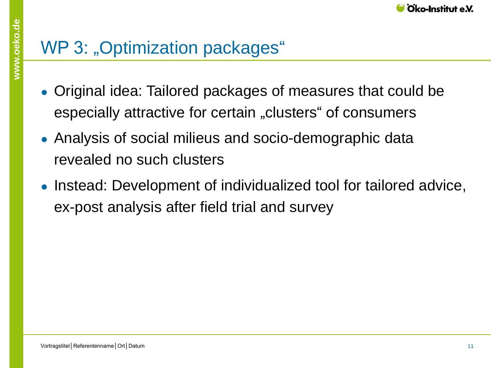## WP 3: "Optimization packages"

- Original idea: Tailored packages of measures that could be especially attractive for certain "clusters" of consumers
- Analysis of social milieus and socio-demographic data revealed no such clusters
- Instead: Development of individualized tool for tailored advice, ex-post analysis after field trial and survey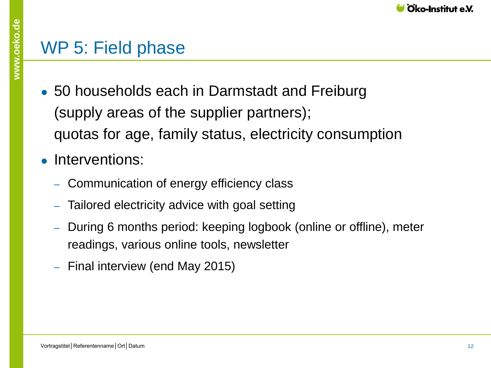### WP 5: Field phase

- 50 households each in Darmstadt and Freiburg (supply areas of the supplier partners); quotas for age, family status, electricity consumption
- Interventions:
	- ‒ Communication of energy efficiency class
	- ‒ Tailored electricity advice with goal setting
	- ‒ During 6 months period: keeping logbook (online or offline), meter readings, various online tools, newsletter
	- ‒ Final interview (end May 2015)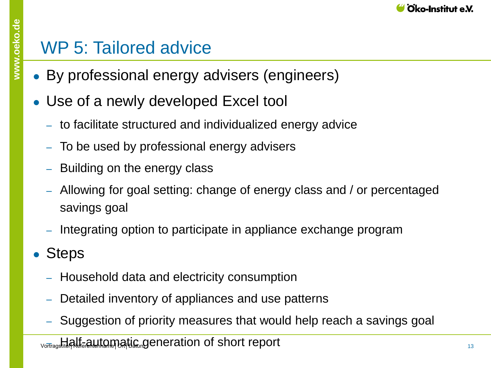### WP 5: Tailored advice

- By professional energy advisers (engineers)
- Use of a newly developed Excel tool
	- ‒ to facilitate structured and individualized energy advice
	- ‒ To be used by professional energy advisers
	- Building on the energy class
	- ‒ Allowing for goal setting: change of energy class and / or percentaged savings goal
	- ‒ Integrating option to participate in appliance exchange program
- Steps
	- ‒ Household data and electricity consumption
	- Detailed inventory of appliances and use patterns
	- ‒ Suggestion of priority measures that would help reach a savings goal
	- vortragstite**nterententenname**tic meration of short report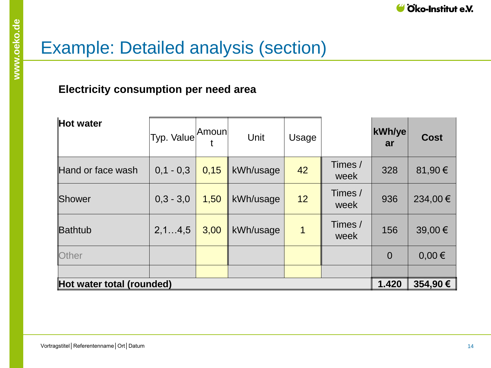## Example: Detailed analysis (section)

#### **Electricity consumption per need area**

| Hot water                 | Typ. Value Amoun |         | Unit      | Usage |                 | kWh/ye<br>ar   | <b>Cost</b> |
|---------------------------|------------------|---------|-----------|-------|-----------------|----------------|-------------|
| Hand or face wash         | $0,1 - 0,3$      | 0,15    | kWh/usage | 42    | Times /<br>week | 328            | 81,90€      |
| Shower                    | $0,3 - 3,0$      | 1,50    | kWh/usage | 12    | Times /<br>week | 936            | 234,00€     |
| Bathtub                   | 2, 14, 5         | 3,00    | kWh/usage | 1     | Times /<br>week | 156            | 39,00€      |
| Other                     |                  |         |           |       |                 | $\overline{0}$ | $0,00 \in$  |
|                           |                  |         |           |       |                 |                |             |
| Hot water total (rounded) | 1.420            | 354,90€ |           |       |                 |                |             |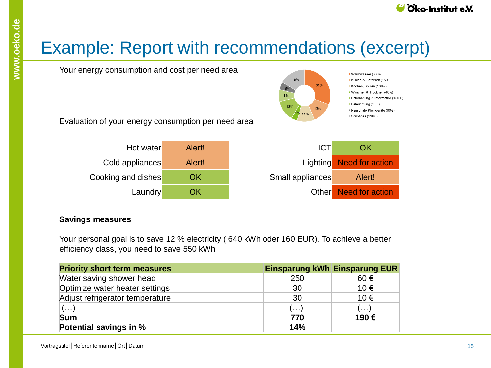## Example: Report with recommendations (excerpt)



#### **Savings measures**

Your personal goal is to save 12 % electricity ( 640 kWh oder 160 EUR). To achieve a better efficiency class, you need to save 550 kWh

| <b>Priority short term measures</b> |              | <b>Einsparung kWh Einsparung EUR</b> |
|-------------------------------------|--------------|--------------------------------------|
| Water saving shower head            | 250          | 60€                                  |
| Optimize water heater settings      | 30           | 10€                                  |
| Adjust refrigerator temperature     | 30           | 10€                                  |
| $(\ldots)$                          | $\mathbf{L}$ | $(\ldots)$                           |
| <b>Sum</b>                          | 770          | 190€                                 |
| Potential savings in %              | 14%          |                                      |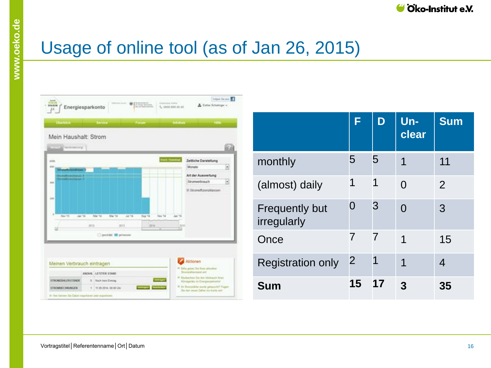## Usage of online tool (as of Jan 26, 2015)



|                                      | F              |                | Un-<br>clear | <b>Sum</b> |
|--------------------------------------|----------------|----------------|--------------|------------|
| monthly                              | 5              | 5              | 1            | 11         |
| (almost) daily                       | 1              | 1              | 0            | 2          |
| <b>Frequently but</b><br>irregularly | O              | 3              | $\Omega$     | 3          |
| Once                                 | 7              | $\overline{7}$ | 1            | 15         |
| <b>Registration only</b>             | $\overline{2}$ | 1              | 1            | 4          |
| <b>Sum</b>                           | 15             | 17             | 3            | 35         |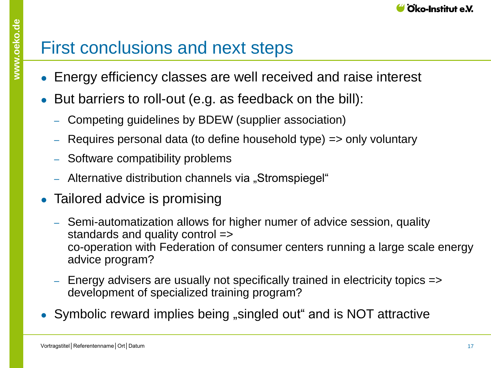- Energy efficiency classes are well received and raise interest
- But barriers to roll-out (e.g. as feedback on the bill):
	- ‒ Competing guidelines by BDEW (supplier association)
	- Requires personal data (to define household type) => only voluntary
	- ‒ Software compatibility problems
	- Alternative distribution channels via "Stromspiegel"
- Tailored advice is promising
	- ‒ Semi-automatization allows for higher numer of advice session, quality standards and quality control => co-operation with Federation of consumer centers running a large scale energy advice program?
	- ‒ Energy advisers are usually not specifically trained in electricity topics => development of specialized training program?
- Symbolic reward implies being "singled out" and is NOT attractive

**www.oeko.de**